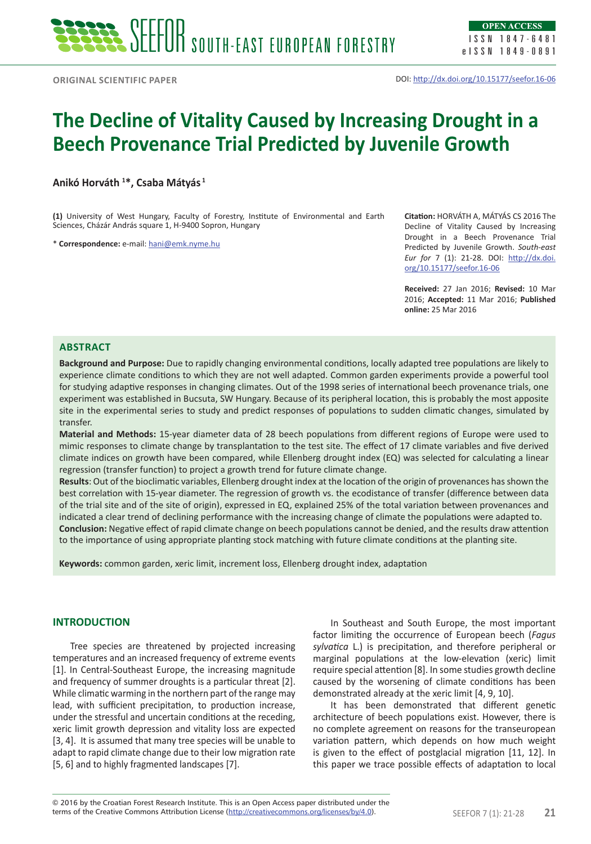# **The Decline of Vitality Caused by Increasing Drought in a Beech Provenance Trial Predicted by Juvenile Growth**

**Anikó Horváth 1 \*, Csaba Mátyás 1**

**(1)** University of West Hungary, Faculty of Forestry, Institute of Environmental and Earth Sciences, Cházár András square 1, H-9400 Sopron, Hungary

\* **Correspondence:** e-mail: hani@emk.nyme.hu

**Citation:** HORVÁTH A, MÁTYÁS CS 2016 The Decline of Vitality Caused by Increasing Drought in a Beech Provenance Trial Predicted by Juvenile Growth. *South-east Eur for* 7 (1): 21-28. DOI: http://dx.doi. org/10.15177/seefor.16-06

**Received:** 27 Jan 2016; **Revised:** 10 Mar 2016; **Accepted:** 11 Mar 2016; **Published online:** 25 Mar 2016

## **Abstract**

**Background and Purpose:** Due to rapidly changing environmental conditions, locally adapted tree populations are likely to experience climate conditions to which they are not well adapted. Common garden experiments provide a powerful tool for studying adaptive responses in changing climates. Out of the 1998 series of international beech provenance trials, one experiment was established in Bucsuta, SW Hungary. Because of its peripheral location, this is probably the most apposite site in the experimental series to study and predict responses of populations to sudden climatic changes, simulated by transfer.

**Material and Methods:** 15-year diameter data of 28 beech populations from different regions of Europe were used to mimic responses to climate change by transplantation to the test site. The effect of 17 climate variables and five derived climate indices on growth have been compared, while Ellenberg drought index (EQ) was selected for calculating a linear regression (transfer function) to project a growth trend for future climate change.

**Results**: Out of the bioclimatic variables, Ellenberg drought index at the location of the origin of provenances has shown the best correlation with 15-year diameter. The regression of growth vs. the ecodistance of transfer (difference between data of the trial site and of the site of origin), expressed in EQ, explained 25% of the total variation between provenances and indicated a clear trend of declining performance with the increasing change of climate the populations were adapted to. **Conclusion:** Negative effect of rapid climate change on beech populations cannot be denied, and the results draw attention to the importance of using appropriate planting stock matching with future climate conditions at the planting site.

**Keywords:** common garden, xeric limit, increment loss, Ellenberg drought index, adaptation

## **INTRODUCTION**

Tree species are threatened by projected increasing temperatures and an increased frequency of extreme events [1]. In Central-Southeast Europe, the increasing magnitude and frequency of summer droughts is a particular threat [2]. While climatic warming in the northern part of the range may lead, with sufficient precipitation, to production increase, under the stressful and uncertain conditions at the receding, xeric limit growth depression and vitality loss are expected [3, 4]. It is assumed that many tree species will be unable to adapt to rapid climate change due to their low migration rate [5, 6] and to highly fragmented landscapes [7].

In Southeast and South Europe, the most important factor limiting the occurrence of European beech (*Fagus sylvatica* L.) is precipitation, and therefore peripheral or marginal populations at the low-elevation (xeric) limit require special attention [8]. In some studies growth decline caused by the worsening of climate conditions has been demonstrated already at the xeric limit [4, 9, 10].

It has been demonstrated that different genetic architecture of beech populations exist. However, there is no complete agreement on reasons for the transeuropean variation pattern, which depends on how much weight is given to the effect of postglacial migration [11, 12]. In this paper we trace possible effects of adaptation to local

terms of the Creative Commons Attribution License (http://creativecommons.org/licenses/by/4.0). SEEFOR 7 (1): 21-28 **21** © 2016 by the Croatian Forest Research Institute. This is an Open Access paper distributed under the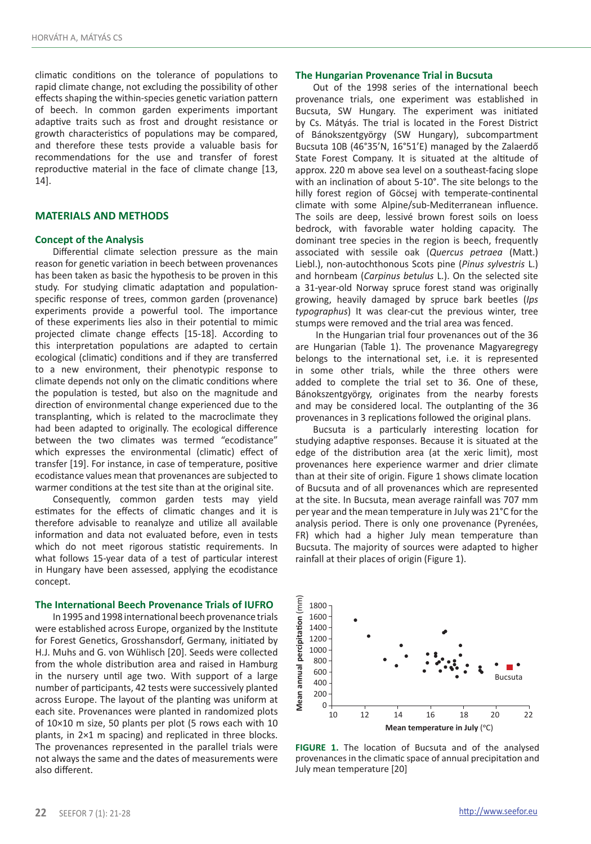climatic conditions on the tolerance of populations to rapid climate change, not excluding the possibility of other effects shaping the within-species genetic variation pattern of beech. In common garden experiments important adaptive traits such as frost and drought resistance or growth characteristics of populations may be compared, and therefore these tests provide a valuable basis for recommendations for the use and transfer of forest reproductive material in the face of climate change [13, 14].

## **MATERIALS AND METHODS**

#### **Concept of the Analysis**

Differential climate selection pressure as the main reason for genetic variation in beech between provenances has been taken as basic the hypothesis to be proven in this study. For studying climatic adaptation and populationspecific response of trees, common garden (provenance) experiments provide a powerful tool. The importance of these experiments lies also in their potential to mimic projected climate change effects [15-18]. According to this interpretation populations are adapted to certain ecological (climatic) conditions and if they are transferred to a new environment, their phenotypic response to climate depends not only on the climatic conditions where the population is tested, but also on the magnitude and direction of environmental change experienced due to the transplanting, which is related to the macroclimate they had been adapted to originally. The ecological difference between the two climates was termed "ecodistance" which expresses the environmental (climatic) effect of transfer [19]. For instance, in case of temperature, positive ecodistance values mean that provenances are subjected to warmer conditions at the test site than at the original site.

Consequently, common garden tests may yield estimates for the effects of climatic changes and it is therefore advisable to reanalyze and utilize all available information and data not evaluated before, even in tests which do not meet rigorous statistic requirements. In what follows 15-year data of a test of particular interest in Hungary have been assessed, applying the ecodistance concept.

### **The International Beech Provenance Trials of IUFRO**

In 1995 and 1998 international beech provenance trials were established across Europe, organized by the Institute for Forest Genetics, Grosshansdorf, Germany, initiated by H.J. Muhs and G. von Wühlisch [20]. Seeds were collected from the whole distribution area and raised in Hamburg in the nursery until age two. With support of a large number of participants, 42 tests were successively planted across Europe. The layout of the planting was uniform at each site. Provenances were planted in randomized plots of 10×10 m size, 50 plants per plot (5 rows each with 10 plants, in 2×1 m spacing) and replicated in three blocks. The provenances represented in the parallel trials were not always the same and the dates of measurements were also different.

#### **The Hungarian Provenance Trial in Bucsuta**

Out of the 1998 series of the international beech provenance trials, one experiment was established in Bucsuta, SW Hungary. The experiment was initiated by Cs. Mátyás. The trial is located in the Forest District of Bánokszentgyörgy (SW Hungary), subcompartment Bucsuta 10B (46°35'N, 16°51'E) managed by the Zalaerdő State Forest Company. It is situated at the altitude of approx. 220 m above sea level on a southeast-facing slope with an inclination of about 5-10°. The site belongs to the hilly forest region of Göcsej with temperate-continental climate with some Alpine/sub-Mediterranean influence. The soils are deep, lessivé brown forest soils on loess bedrock, with favorable water holding capacity. The dominant tree species in the region is beech, frequently associated with sessile oak (*Quercus petraea* (Matt.) Liebl.), non-autochthonous Scots pine (*Pinus sylvestris* L.) and hornbeam (*Carpinus betulus* L.). On the selected site a 31-year-old Norway spruce forest stand was originally growing, heavily damaged by spruce bark beetles (*Ips typographus*) It was clear-cut the previous winter, tree stumps were removed and the trial area was fenced.

 In the Hungarian trial four provenances out of the 36 are Hungarian (Table 1). The provenance Magyaregregy belongs to the international set, i.e. it is represented in some other trials, while the three others were added to complete the trial set to 36. One of these, Bánokszentgyörgy, originates from the nearby forests and may be considered local. The outplanting of the 36 provenances in 3 replications followed the original plans.

Bucsuta is a particularly interesting location for studying adaptive responses. Because it is situated at the edge of the distribution area (at the xeric limit), most provenances here experience warmer and drier climate than at their site of origin. Figure 1 shows climate location of Bucsuta and of all provenances which are represented at the site. In Bucsuta, mean average rainfall was 707 mm per year and the mean temperature in July was 21°C for the analysis period. There is only one provenance (Pyrenées, FR) which had a higher July mean temperature than Bucsuta. The majority of sources were adapted to higher rainfall at their places of origin (Figure 1).



**FIGURE 1.** The location of Bucsuta and of the analysed provenances in the climatic space of annual precipitation and July mean temperature [20]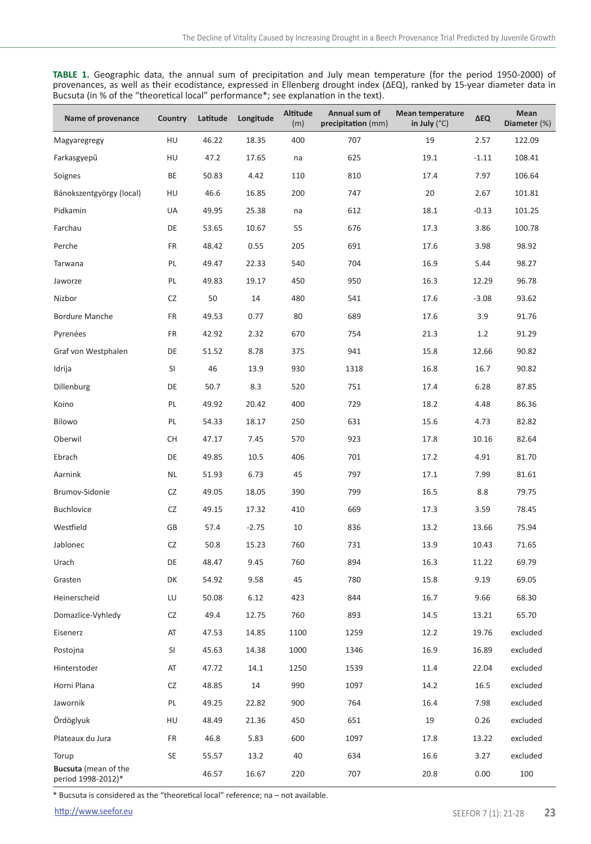**TABLE 1.** Geographic data, the annual sum of precipitation and July mean temperature (for the period 1950-2000) of provenances, as well as their ecodistance, expressed in Ellenberg drought index (∆EQ), ranked by 15-year diameter data in Bucsuta (in % of the "theoretical local" performance\*; see explanation in the text).

| Name of provenance                         | Country   | Latitude | Longitude | <b>Altitude</b><br>(m) | Annual sum of<br>precipitation (mm) | <b>Mean temperature</b><br>in July $(^{\circ}C)$ | <b>AEQ</b> | Mean<br>Diameter (%) |
|--------------------------------------------|-----------|----------|-----------|------------------------|-------------------------------------|--------------------------------------------------|------------|----------------------|
| Magyaregregy                               | HU        | 46.22    | 18.35     | 400                    | 707                                 | 19                                               | 2.57       | 122.09               |
| Farkasgyepű                                | HU        | 47.2     | 17.65     | na                     | 625                                 | 19.1                                             | $-1.11$    | 108.41               |
| Soignes                                    | BE        | 50.83    | 4.42      | 110                    | 810                                 | 17.4                                             | 7.97       | 106.64               |
| Bánokszentgyörgy (local)                   | HU        | 46.6     | 16.85     | 200                    | 747                                 | 20                                               | 2.67       | 101.81               |
| Pidkamin                                   | UA        | 49.95    | 25.38     | na                     | 612                                 | 18.1                                             | $-0.13$    | 101.25               |
| Farchau                                    | DE        | 53.65    | 10.67     | 55                     | 676                                 | 17.3                                             | 3.86       | 100.78               |
| Perche                                     | FR        | 48.42    | 0.55      | 205                    | 691                                 | 17.6                                             | 3.98       | 98.92                |
| Tarwana                                    | PL        | 49.47    | 22.33     | 540                    | 704                                 | 16.9                                             | 5.44       | 98.27                |
| Jaworze                                    | PL        | 49.83    | 19.17     | 450                    | 950                                 | 16.3                                             | 12.29      | 96.78                |
| Nizbor                                     | CZ        | 50       | 14        | 480                    | 541                                 | 17.6                                             | $-3.08$    | 93.62                |
| <b>Bordure Manche</b>                      | FR        | 49.53    | 0.77      | 80                     | 689                                 | 17.6                                             | 3.9        | 91.76                |
| Pyrenées                                   | FR        | 42.92    | 2.32      | 670                    | 754                                 | 21.3                                             | 1.2        | 91.29                |
| Graf von Westphalen                        | DE        | 51.52    | 8.78      | 375                    | 941                                 | 15.8                                             | 12.66      | 90.82                |
| Idrija                                     | SI        | 46       | 13.9      | 930                    | 1318                                | 16.8                                             | 16.7       | 90.82                |
| Dillenburg                                 | DE        | 50.7     | 8.3       | 520                    | 751                                 | 17.4                                             | 6.28       | 87.85                |
| Koino                                      | PL        | 49.92    | 20.42     | 400                    | 729                                 | 18.2                                             | 4.48       | 86.36                |
| Bilowo                                     | PL        | 54.33    | 18.17     | 250                    | 631                                 | 15.6                                             | 4.73       | 82.82                |
| Oberwil                                    | СH        | 47.17    | 7.45      | 570                    | 923                                 | 17.8                                             | 10.16      | 82.64                |
| Ebrach                                     | DE        | 49.85    | 10.5      | 406                    | 701                                 | 17.2                                             | 4.91       | 81.70                |
| Aarnink                                    | <b>NL</b> | 51.93    | 6.73      | 45                     | 797                                 | 17.1                                             | 7.99       | 81.61                |
| Brumov-Sidonie                             | CZ        | 49.05    | 18.05     | 390                    | 799                                 | 16.5                                             | 8.8        | 79.75                |
| Buchlovice                                 | CZ        | 49.15    | 17.32     | 410                    | 669                                 | 17.3                                             | 3.59       | 78.45                |
| Westfield                                  | GB        | 57.4     | $-2.75$   | 10                     | 836                                 | 13.2                                             | 13.66      | 75.94                |
| Jablonec                                   | CZ        | 50.8     | 15.23     | 760                    | 731                                 | 13.9                                             | 10.43      | 71.65                |
| Urach                                      | DE        | 48.47    | 9.45      | 760                    | 894                                 | 16.3                                             | 11.22      | 69.79                |
| Grasten                                    | DK        | 54.92    | 9.58      | 45                     | 780                                 | 15.8                                             | 9.19       | 69.05                |
| Heinerscheid                               | LU        | 50.08    | 6.12      | 423                    | 844                                 | 16.7                                             | 9.66       | 68.30                |
| Domazlice-Vyhledy                          | CZ        | 49.4     | 12.75     | 760                    | 893                                 | 14.5                                             | 13.21      | 65.70                |
| Eisenerz                                   | AT        | 47.53    | 14.85     | 1100                   | 1259                                | 12.2                                             | 19.76      | excluded             |
| Postojna                                   | SI        | 45.63    | 14.38     | 1000                   | 1346                                | 16.9                                             | 16.89      | excluded             |
| Hinterstoder                               | AT        | 47.72    | 14.1      | 1250                   | 1539                                | 11.4                                             | 22.04      | excluded             |
| Horni Plana                                | CZ        | 48.85    | 14        | 990                    | 1097                                | 14.2                                             | 16.5       | excluded             |
| Jawornik                                   | PL        | 49.25    | 22.82     | 900                    | 764                                 | 16.4                                             | 7.98       | excluded             |
| Ördöglyuk                                  | HU        | 48.49    | 21.36     | 450                    | 651                                 | 19                                               | 0.26       | excluded             |
| Plateaux du Jura                           | FR        | 46.8     | 5.83      | 600                    | 1097                                | 17.8                                             | 13.22      | excluded             |
| Torup                                      | SE        | 55.57    | 13.2      | 40                     | 634                                 | 16.6                                             | 3.27       | excluded             |
| Bucsuta (mean of the<br>period 1998-2012)* |           | 46.57    | 16.67     | 220                    | 707                                 | 20.8                                             | 0.00       | 100                  |

\* Bucsuta is considered as the "theoretical local" reference; na – not available.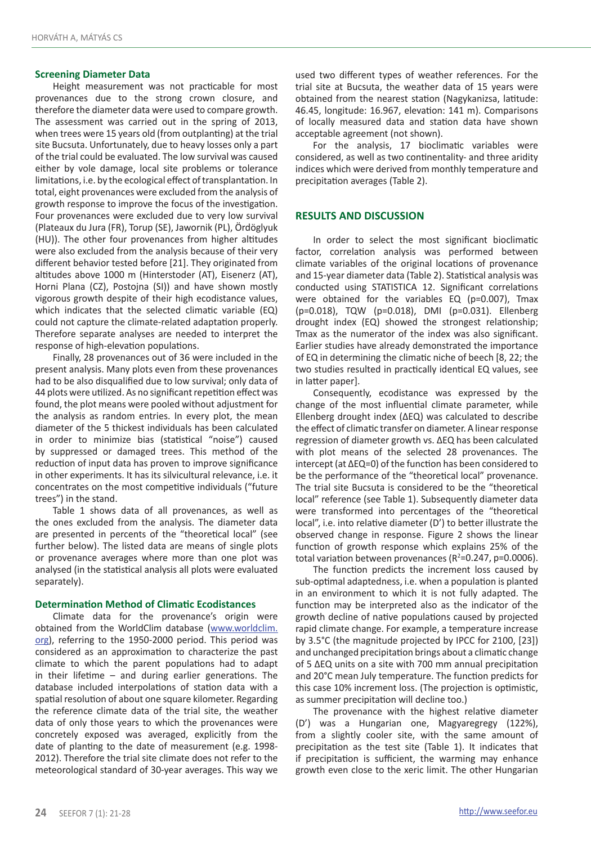## **Screening Diameter Data**

Height measurement was not practicable for most provenances due to the strong crown closure, and therefore the diameter data were used to compare growth. The assessment was carried out in the spring of 2013, when trees were 15 years old (from outplanting) at the trial site Bucsuta. Unfortunately, due to heavy losses only a part of the trial could be evaluated. The low survival was caused either by vole damage, local site problems or tolerance limitations, i.e. by the ecological effect of transplantation. In total, eight provenances were excluded from the analysis of growth response to improve the focus of the investigation. Four provenances were excluded due to very low survival (Plateaux du Jura (FR), Torup (SE), Jawornik (PL), Ördöglyuk (HU)). The other four provenances from higher altitudes were also excluded from the analysis because of their very different behavior tested before [21]. They originated from altitudes above 1000 m (Hinterstoder (AT), Eisenerz (AT), Horni Plana (CZ), Postojna (SI)) and have shown mostly vigorous growth despite of their high ecodistance values, which indicates that the selected climatic variable (EQ) could not capture the climate-related adaptation properly. Therefore separate analyses are needed to interpret the response of high-elevation populations.

Finally, 28 provenances out of 36 were included in the present analysis. Many plots even from these provenances had to be also disqualified due to low survival; only data of 44 plots were utilized. As no significant repetition effect was found, the plot means were pooled without adjustment for the analysis as random entries. In every plot, the mean diameter of the 5 thickest individuals has been calculated in order to minimize bias (statistical "noise") caused by suppressed or damaged trees. This method of the reduction of input data has proven to improve significance in other experiments. It has its silvicultural relevance, i.e. it concentrates on the most competitive individuals ("future trees") in the stand.

Table 1 shows data of all provenances, as well as the ones excluded from the analysis. The diameter data are presented in percents of the "theoretical local" (see further below). The listed data are means of single plots or provenance averages where more than one plot was analysed (in the statistical analysis all plots were evaluated separately).

### **Determination Method of Climatic Ecodistances**

Climate data for the provenance's origin were obtained from the WorldClim database (www.worldclim. org), referring to the 1950-2000 period. This period was considered as an approximation to characterize the past climate to which the parent populations had to adapt in their lifetime – and during earlier generations. The database included interpolations of station data with a spatial resolution of about one square kilometer. Regarding the reference climate data of the trial site, the weather data of only those years to which the provenances were concretely exposed was averaged, explicitly from the date of planting to the date of measurement (e.g. 1998- 2012). Therefore the trial site climate does not refer to the meteorological standard of 30-year averages. This way we

used two different types of weather references. For the trial site at Bucsuta, the weather data of 15 years were obtained from the nearest station (Nagykanizsa, latitude: 46.45, longitude: 16.967, elevation: 141 m). Comparisons of locally measured data and station data have shown acceptable agreement (not shown).

For the analysis, 17 bioclimatic variables were considered, as well as two continentality- and three aridity indices which were derived from monthly temperature and precipitation averages (Table 2).

## **RESULTS AND DISCUSSION**

In order to select the most significant bioclimatic factor, correlation analysis was performed between climate variables of the original locations of provenance and 15-year diameter data (Table 2). Statistical analysis was conducted using STATISTICA 12. Significant correlations were obtained for the variables EQ (p=0.007), Tmax (p=0.018), TQW (p=0.018), DMI (p=0.031). Ellenberg drought index (EQ) showed the strongest relationship; Tmax as the numerator of the index was also significant. Earlier studies have already demonstrated the importance of EQ in determining the climatic niche of beech [8, 22; the two studies resulted in practically identical EQ values, see in latter paper].

Consequently, ecodistance was expressed by the change of the most influential climate parameter, while Ellenberg drought index (ΔEQ) was calculated to describe the effect of climatic transfer on diameter. A linear response regression of diameter growth vs. ΔEQ has been calculated with plot means of the selected 28 provenances. The intercept (at ΔEQ=0) of the function has been considered to be the performance of the "theoretical local" provenance. The trial site Bucsuta is considered to be the "theoretical local" reference (see Table 1). Subsequently diameter data were transformed into percentages of the "theoretical local", i.e. into relative diameter (D') to better illustrate the observed change in response. Figure 2 shows the linear function of growth response which explains 25% of the total variation between provenances ( $R^2$ =0.247, p=0.0006).

The function predicts the increment loss caused by sub-optimal adaptedness, i.e. when a population is planted in an environment to which it is not fully adapted. The function may be interpreted also as the indicator of the growth decline of native populations caused by projected rapid climate change. For example, a temperature increase by 3.5°C (the magnitude projected by IPCC for 2100, [23]) and unchanged precipitation brings about a climatic change of 5 ΔEQ units on a site with 700 mm annual precipitation and 20°C mean July temperature. The function predicts for this case 10% increment loss. (The projection is optimistic, as summer precipitation will decline too.)

The provenance with the highest relative diameter (D') was a Hungarian one, Magyaregregy (122%), from a slightly cooler site, with the same amount of precipitation as the test site (Table 1). It indicates that if precipitation is sufficient, the warming may enhance growth even close to the xeric limit. The other Hungarian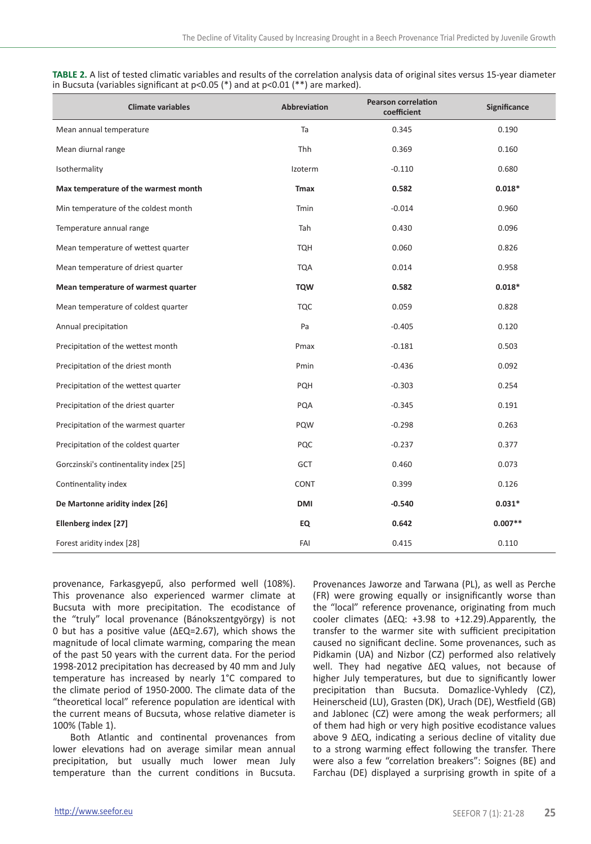**TABLE 2.** A list of tested climatic variables and results of the correlation analysis data of original sites versus 15-year diameter in Bucsuta (variables significant at p<0.05 (\*) and at p<0.01 (\*\*) are marked).

| <b>Climate variables</b>               | <b>Abbreviation</b> | <b>Pearson correlation</b><br>coefficient | <b>Significance</b> |
|----------------------------------------|---------------------|-------------------------------------------|---------------------|
| Mean annual temperature                | Ta                  | 0.345                                     | 0.190               |
| Mean diurnal range                     | Thh                 | 0.369                                     | 0.160               |
| Isothermality                          | Izoterm             | $-0.110$                                  | 0.680               |
| Max temperature of the warmest month   | <b>Tmax</b>         | 0.582                                     | $0.018*$            |
| Min temperature of the coldest month   | Tmin                | $-0.014$                                  | 0.960               |
| Temperature annual range               | Tah                 | 0.430                                     | 0.096               |
| Mean temperature of wettest quarter    | <b>TQH</b>          | 0.060                                     | 0.826               |
| Mean temperature of driest quarter     | <b>TQA</b>          | 0.014                                     | 0.958               |
| Mean temperature of warmest quarter    | <b>TQW</b>          | 0.582                                     | $0.018*$            |
| Mean temperature of coldest quarter    | <b>TQC</b>          | 0.059                                     | 0.828               |
| Annual precipitation                   | Pa                  | $-0.405$                                  | 0.120               |
| Precipitation of the wettest month     | Pmax                | $-0.181$                                  | 0.503               |
| Precipitation of the driest month      | Pmin                | $-0.436$                                  | 0.092               |
| Precipitation of the wettest quarter   | PQH                 | $-0.303$                                  | 0.254               |
| Precipitation of the driest quarter    | PQA                 | $-0.345$                                  | 0.191               |
| Precipitation of the warmest quarter   | PQW                 | $-0.298$                                  | 0.263               |
| Precipitation of the coldest quarter   | PQC                 | $-0.237$                                  | 0.377               |
| Gorczinski's continentality index [25] | <b>GCT</b>          | 0.460                                     | 0.073               |
| Continentality index                   | CONT                | 0.399                                     | 0.126               |
| De Martonne aridity index [26]         | DMI                 | $-0.540$                                  | $0.031*$            |
| Ellenberg index [27]                   | EQ                  | 0.642                                     | $0.007**$           |
| Forest aridity index [28]              | FAI                 | 0.415                                     | 0.110               |

provenance, Farkasgyepű, also performed well (108%). This provenance also experienced warmer climate at Bucsuta with more precipitation. The ecodistance of the "truly" local provenance (Bánokszentgyörgy) is not 0 but has a positive value (ΔEQ=2.67), which shows the magnitude of local climate warming, comparing the mean of the past 50 years with the current data. For the period 1998-2012 precipitation has decreased by 40 mm and July temperature has increased by nearly 1°C compared to the climate period of 1950-2000. The climate data of the "theoretical local" reference population are identical with the current means of Bucsuta, whose relative diameter is 100% (Table 1).

Both Atlantic and continental provenances from lower elevations had on average similar mean annual precipitation, but usually much lower mean July temperature than the current conditions in Bucsuta.

Provenances Jaworze and Tarwana (PL), as well as Perche (FR) were growing equally or insignificantly worse than the "local" reference provenance, originating from much cooler climates (ΔEQ: +3.98 to +12.29).Apparently, the transfer to the warmer site with sufficient precipitation caused no significant decline. Some provenances, such as Pidkamin (UA) and Nizbor (CZ) performed also relatively well. They had negative ΔEQ values, not because of higher July temperatures, but due to significantly lower precipitation than Bucsuta. Domazlice-Vyhledy (CZ), Heinerscheid (LU), Grasten (DK), Urach (DE), Westfield (GB) and Jablonec (CZ) were among the weak performers; all of them had high or very high positive ecodistance values above 9 ΔEQ, indicating a serious decline of vitality due to a strong warming effect following the transfer. There were also a few "correlation breakers": Soignes (BE) and Farchau (DE) displayed a surprising growth in spite of a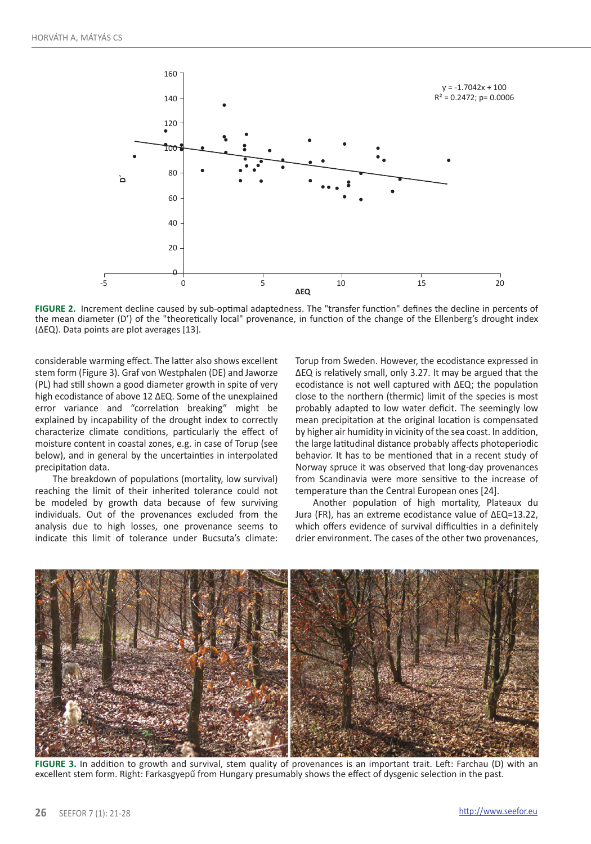

**FIGURE 2.** Increment decline caused by sub-optimal adaptedness. The "transfer function" defines the decline in percents of the mean diameter (D') of the "theoretically local" provenance, in function of the change of the Ellenberg's drought index (∆EQ). Data points are plot averages [13].

considerable warming effect. The latter also shows excellent stem form (Figure 3). Graf von Westphalen (DE) and Jaworze (PL) had still shown a good diameter growth in spite of very high ecodistance of above 12 ΔEQ. Some of the unexplained error variance and "correlation breaking" might be explained by incapability of the drought index to correctly characterize climate conditions, particularly the effect of moisture content in coastal zones, e.g. in case of Torup (see below), and in general by the uncertainties in interpolated precipitation data.

The breakdown of populations (mortality, low survival) reaching the limit of their inherited tolerance could not be modeled by growth data because of few surviving individuals. Out of the provenances excluded from the analysis due to high losses, one provenance seems to indicate this limit of tolerance under Bucsuta's climate:

Torup from Sweden. However, the ecodistance expressed in ΔEQ is relatively small, only 3.27. It may be argued that the ecodistance is not well captured with ΔEQ; the population close to the northern (thermic) limit of the species is most probably adapted to low water deficit. The seemingly low mean precipitation at the original location is compensated by higher air humidity in vicinity of the sea coast. In addition, the large latitudinal distance probably affects photoperiodic behavior. It has to be mentioned that in a recent study of Norway spruce it was observed that long-day provenances from Scandinavia were more sensitive to the increase of temperature than the Central European ones [24].

Another population of high mortality, Plateaux du Jura (FR), has an extreme ecodistance value of ΔEQ=13.22, which offers evidence of survival difficulties in a definitely drier environment. The cases of the other two provenances,



**FIGURE 3.** In addition to growth and survival, stem quality of provenances is an important trait. Left: Farchau (D) with an excellent stem form. Right: Farkasgyepű from Hungary presumably shows the effect of dysgenic selection in the past.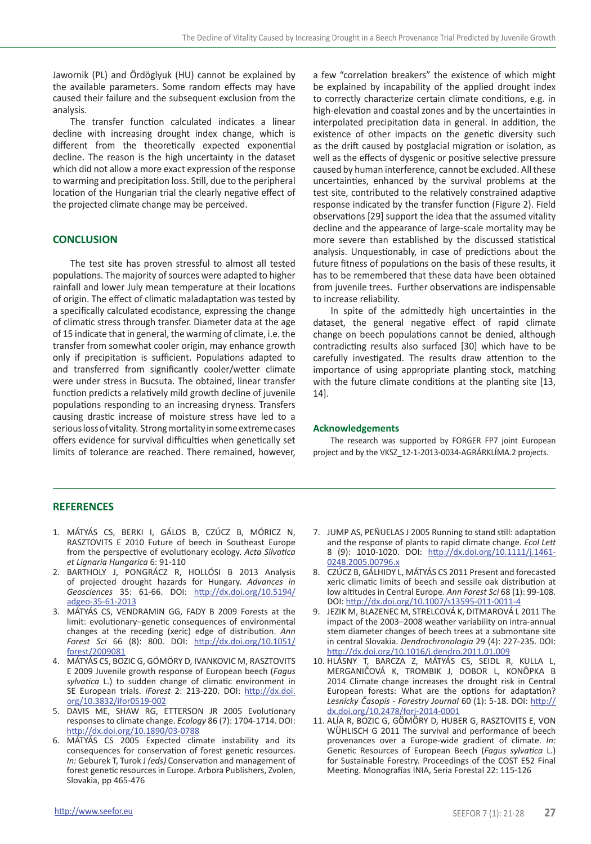Jawornik (PL) and Ördöglyuk (HU) cannot be explained by the available parameters. Some random effects may have caused their failure and the subsequent exclusion from the analysis.

The transfer function calculated indicates a linear decline with increasing drought index change, which is different from the theoretically expected exponential decline. The reason is the high uncertainty in the dataset which did not allow a more exact expression of the response to warming and precipitation loss. Still, due to the peripheral location of the Hungarian trial the clearly negative effect of the projected climate change may be perceived.

## **CONCLUSION**

The test site has proven stressful to almost all tested populations. The majority of sources were adapted to higher rainfall and lower July mean temperature at their locations of origin. The effect of climatic maladaptation was tested by a specifically calculated ecodistance, expressing the change of climatic stress through transfer. Diameter data at the age of 15 indicate that in general, the warming of climate, i.e. the transfer from somewhat cooler origin, may enhance growth only if precipitation is sufficient. Populations adapted to and transferred from significantly cooler/wetter climate were under stress in Bucsuta. The obtained, linear transfer function predicts a relatively mild growth decline of juvenile populations responding to an increasing dryness. Transfers causing drastic increase of moisture stress have led to a serious loss of vitality. Strong mortality in some extreme cases offers evidence for survival difficulties when genetically set limits of tolerance are reached. There remained, however,

a few "correlation breakers" the existence of which might be explained by incapability of the applied drought index to correctly characterize certain climate conditions, e.g. in high-elevation and coastal zones and by the uncertainties in interpolated precipitation data in general. In addition, the existence of other impacts on the genetic diversity such as the drift caused by postglacial migration or isolation, as well as the effects of dysgenic or positive selective pressure caused by human interference, cannot be excluded. All these uncertainties, enhanced by the survival problems at the test site, contributed to the relatively constrained adaptive response indicated by the transfer function (Figure 2). Field observations [29] support the idea that the assumed vitality decline and the appearance of large-scale mortality may be more severe than established by the discussed statistical analysis. Unquestionably, in case of predictions about the future fitness of populations on the basis of these results, it has to be remembered that these data have been obtained from juvenile trees. Further observations are indispensable to increase reliability.

In spite of the admittedly high uncertainties in the dataset, the general negative effect of rapid climate change on beech populations cannot be denied, although contradicting results also surfaced [30] which have to be carefully investigated. The results draw attention to the importance of using appropriate planting stock, matching with the future climate conditions at the planting site [13, 14].

### **Acknowledgements**

The research was supported by FORGER FP7 joint European project and by the VKSZ\_12-1-2013-0034-AGRÁRKLÍMA.2 projects.

### **REFERENCES**

- 1. MÁTYÁS CS, BERKI I, GÁLOS B, CZÚCZ B, MÓRICZ N, RASZTOVITS E 2010 Future of beech in Southeast Europe from the perspective of evolutionary ecology. *Acta Silvatica et Lignaria Hungarica* 6: 91-110
- 2. BARTHOLY J, PONGRÁCZ R, HOLLÓSI B 2013 Analysis of projected drought hazards for Hungary. *Advances in Geosciences* 35: 61-66. DOI: http://dx.doi.org/10.5194/ adgeo-35-61-2013
- 3. MÁTYÁS CS, VENDRAMIN GG, FADY B 2009 Forests at the limit: evolutionary–genetic consequences of environmental changes at the receding (xeric) edge of distribution. *Ann Forest Sci* 66 (8): 800. DOI: http://dx.doi.org/10.1051/ forest/2009081
- 4. Mátyás Cs, Bozic G, GömörY D, Ivankovic M, Rasztovits E 2009 Juvenile growth response of European beech (*Fagus sylvatica* L.) to sudden change of climatic environment in SE European trials. *iForest* 2: 213-220. DOI: http://dx.doi. org/10.3832/ifor0519-002
- 5. DAVIS ME, SHAW RG, ETTERSON JR 2005 Evolutionary responses to climate change. *Ecology* 86 (7): 1704-1714. DOI: http://dx.doi.org/10.1890/03-0788
- 6. MÁTYÁS CS 2005 Expected climate instability and its consequences for conservation of forest genetic resources. *In:* Geburek T, Turok J *(eds)* Conservation and management of forest genetic resources in Europe. Arbora Publishers, Zvolen, Slovakia, pp 465-476
- 7. JUMP AS, PEÑUELAS J 2005 Running to stand still: adaptation and the response of plants to rapid climate change. *Ecol Lett* 8 (9): 1010-1020. DOI: http://dx.doi.org/10.1111/j.1461- 0248.2005.00796.x
- 8. Czúcz B, Gálhidy L, Mátyás Cs 2011 Present and forecasted xeric climatic limits of beech and sessile oak distribution at low altitudes in Central Europe. *Ann Forest Sci* 68 (1): 99-108. DOI: http://dx.doi.org/10.1007/s13595-011-0011-4
- 9. JEZIK M, BLAZENEC M, STRELCOVÁ K, DITMAROVÁ L 2011 The impact of the 2003–2008 weather variability on intra-annual stem diameter changes of beech trees at a submontane site in central Slovakia. *Dendrochronologia* 29 (4): 227-235. DOI: http://dx.doi.org/10.1016/j.dendro.2011.01.009
- 10. HLÁSNY T, BARCZA Z, MÁTYÁS CS, SEIDL R, KULLA L, MERGANIČOVÁ K, TROMBIK J, DOBOR L, KONÔPKA B 2014 Climate change increases the drought risk in Central European forests: What are the options for adaptation? *Lesnícky časopis - Forestry Journal* 60 (1): 5-18. DOI: http:// dx.doi.org/10.2478/forj-2014-0001
- 11. Alía R, Bozic G, Gömöry D, Huber G, Rasztovits E, von Wühlisch G 2011 The survival and performance of beech provenances over a Europe-wide gradient of climate. *In:* Genetic Resources of European Beech (*Fagus sylvatica* L.) for Sustainable Forestry. Proceedings of the COST E52 Final Meeting. Monografías INIA, Seria Forestal 22: 115-126